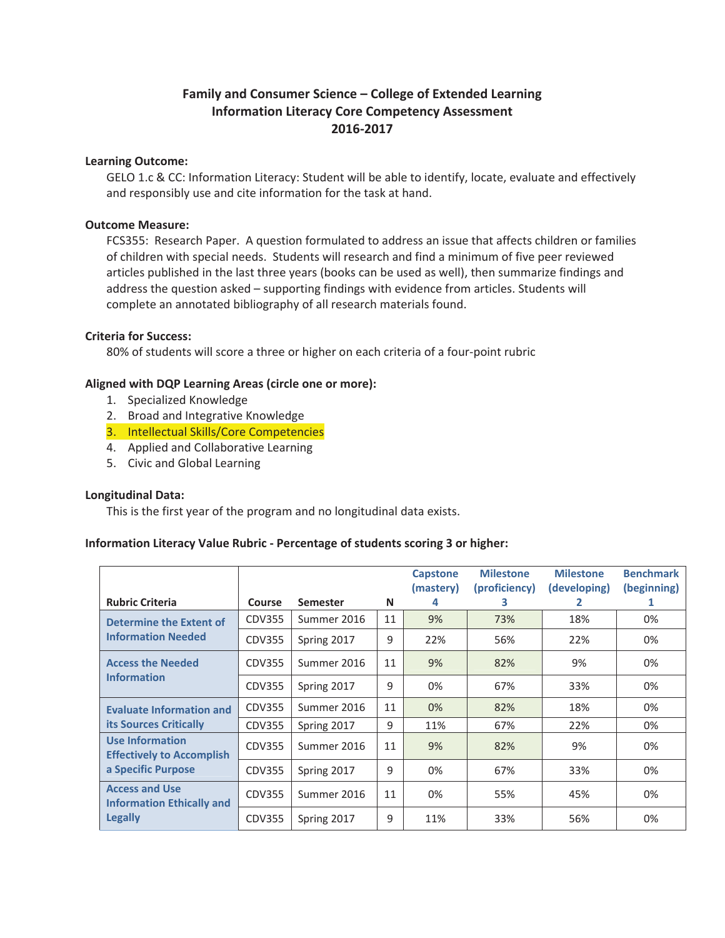# **Family and Consumer Science – College of Extended Learning Information Literacy Core Competency Assessment 2016Ͳ2017**

### **Learning Outcome:**

GELO 1.c & CC: Information Literacy: Student will be able to identify, locate, evaluate and effectively and responsibly use and cite information for the task at hand.

# **Outcome Measure:**

FCS355: Research Paper. A question formulated to address an issue that affects children or families of children with special needs. Students will research and find a minimum of five peer reviewed articles published in the last three years (books can be used as well), then summarize findings and address the question asked – supporting findings with evidence from articles. Students will complete an annotated bibliography of all research materials found.

# **Criteria for Success:**

80% of students will score a three or higher on each criteria of a four-point rubric

# **Aligned with DQP Learning Areas (circle one or more):**

- 1. Specialized Knowledge
- 2. Broad and Integrative Knowledge
- 3. Intellectual Skills/Core Competencies
- 4. Applied and Collaborative Learning
- 5. Civic and Global Learning

### **Longitudinal Data:**

This is the first year of the program and no longitudinal data exists.

### **Information Literacy Value Rubric - Percentage of students scoring 3 or higher:**

|                                                            |               |                 |    | <b>Capstone</b><br>(mastery) | <b>Milestone</b><br>(proficiency) | <b>Milestone</b><br>(developing) | <b>Benchmark</b><br>(beginning) |
|------------------------------------------------------------|---------------|-----------------|----|------------------------------|-----------------------------------|----------------------------------|---------------------------------|
| <b>Rubric Criteria</b>                                     | <b>Course</b> | <b>Semester</b> | N  | 4                            | З                                 | 2                                | 1                               |
| <b>Determine the Extent of</b>                             | <b>CDV355</b> | Summer 2016     | 11 | 9%                           | 73%                               | 18%                              | 0%                              |
| <b>Information Needed</b>                                  | CDV355        | Spring 2017     | 9  | 22%                          | 56%                               | 22%                              | 0%                              |
| <b>Access the Needed</b>                                   | CDV355        | Summer 2016     | 11 | 9%                           | 82%                               | 9%                               | 0%                              |
| <b>Information</b>                                         | CDV355        | Spring 2017     | 9  | 0%                           | 67%                               | 33%                              | $0\%$                           |
| <b>Evaluate Information and</b>                            | CDV355        | Summer 2016     | 11 | 0%                           | 82%                               | 18%                              | 0%                              |
| <b>its Sources Critically</b>                              | CDV355        | Spring 2017     | 9  | 11%                          | 67%                               | 22%                              | 0%                              |
| <b>Use Information</b><br><b>Effectively to Accomplish</b> | CDV355        | Summer 2016     | 11 | 9%                           | 82%                               | 9%                               | 0%                              |
| a Specific Purpose                                         | CDV355        | Spring 2017     | 9  | 0%                           | 67%                               | 33%                              | 0%                              |
| <b>Access and Use</b><br><b>Information Ethically and</b>  | CDV355        | Summer 2016     | 11 | 0%                           | 55%                               | 45%                              | 0%                              |
| <b>Legally</b>                                             | <b>CDV355</b> | Spring 2017     | 9  | 11%                          | 33%                               | 56%                              | 0%                              |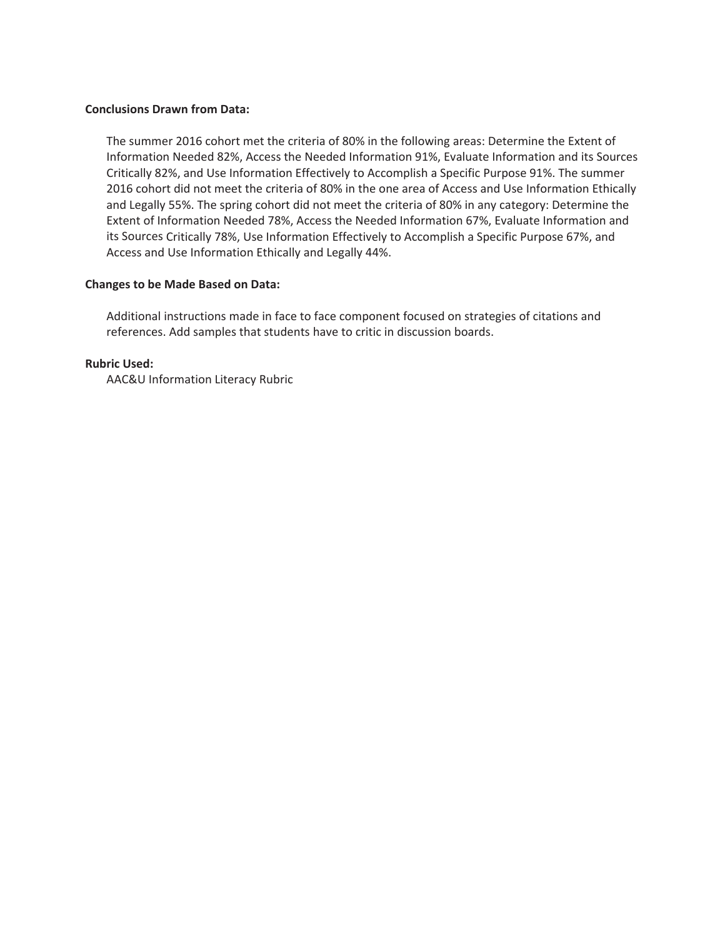### **Conclusions Drawn from Data:**

The summer 2016 cohort met the criteria of 80% in the following areas: Determine the Extent of Information Needed 82%, Access the Needed Information 91%, Evaluate Information and its Sources Critically 82%, and Use Information Effectively to Accomplish a Specific Purpose 91%. The summer 2016 cohort did not meet the criteria of 80% in the one area of Access and Use Information Ethically and Legally 55%. The spring cohort did not meet the criteria of 80% in any category: Determine the Extent of Information Needed 78%, Access the Needed Information 67%, Evaluate Information and its Sources Critically 78%, Use Information Effectively to Accomplish a Specific Purpose 67%, and Access and Use Information Ethically and Legally 44%.

# **Changes to be Made Based on Data:**

Additional instructions made in face to face component focused on strategies of citations and references. Add samples that students have to critic in discussion boards.

# **Rubric Used:**

AAC&U Information Literacy Rubric